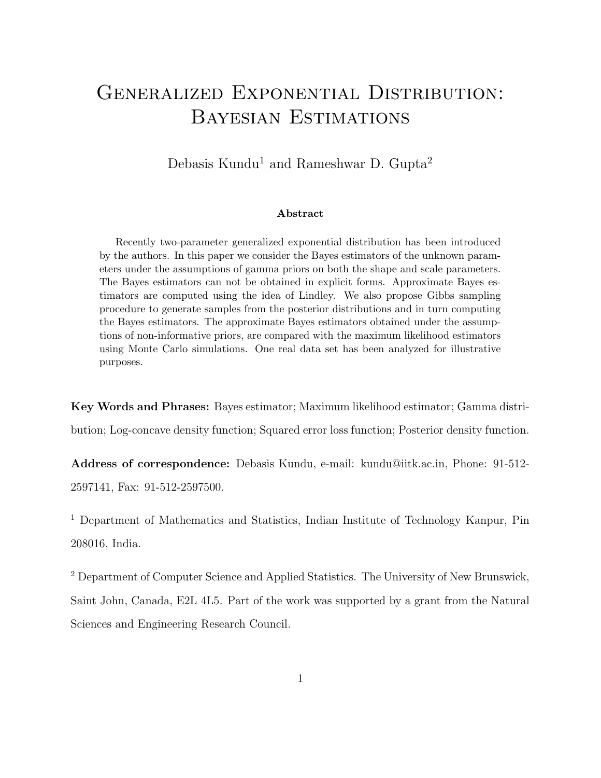# Generalized Exponential Distribution: Bayesian Estimations

Debasis Kundu<sup>1</sup> and Rameshwar D. Gupta<sup>2</sup>

#### Abstract

Recently two-parameter generalized exponential distribution has been introduced by the authors. In this paper we consider the Bayes estimators of the unknown parameters under the assumptions of gamma priors on both the shape and scale parameters. The Bayes estimators can not be obtained in explicit forms. Approximate Bayes estimators are computed using the idea of Lindley. We also propose Gibbs sampling procedure to generate samples from the posterior distributions and in turn computing the Bayes estimators. The approximate Bayes estimators obtained under the assumptions of non-informative priors, are compared with the maximum likelihood estimators using Monte Carlo simulations. One real data set has been analyzed for illustrative purposes.

Key Words and Phrases: Bayes estimator; Maximum likelihood estimator; Gamma distribution; Log-concave density function; Squared error loss function; Posterior density function.

Address of correspondence: Debasis Kundu, e-mail: kundu@iitk.ac.in, Phone: 91-512- 2597141, Fax: 91-512-2597500.

<sup>1</sup> Department of Mathematics and Statistics, Indian Institute of Technology Kanpur, Pin 208016, India.

<sup>2</sup> Department of Computer Science and Applied Statistics. The University of New Brunswick, Saint John, Canada, E2L 4L5. Part of the work was supported by a grant from the Natural Sciences and Engineering Research Council.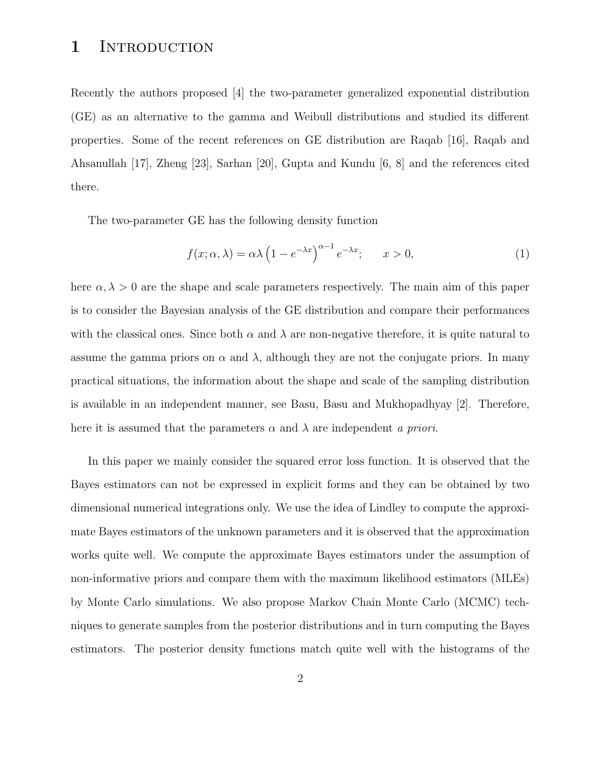#### 1 INTRODUCTION

Recently the authors proposed [4] the two-parameter generalized exponential distribution (GE) as an alternative to the gamma and Weibull distributions and studied its different properties. Some of the recent references on GE distribution are Raqab [16], Raqab and Ahsanullah [17], Zheng [23], Sarhan [20], Gupta and Kundu [6, 8] and the references cited there.

The two-parameter GE has the following density function

$$
f(x; \alpha, \lambda) = \alpha \lambda \left( 1 - e^{-\lambda x} \right)^{\alpha - 1} e^{-\lambda x}; \qquad x > 0,
$$
 (1)

here  $\alpha, \lambda > 0$  are the shape and scale parameters respectively. The main aim of this paper is to consider the Bayesian analysis of the GE distribution and compare their performances with the classical ones. Since both  $\alpha$  and  $\lambda$  are non-negative therefore, it is quite natural to assume the gamma priors on  $\alpha$  and  $\lambda$ , although they are not the conjugate priors. In many practical situations, the information about the shape and scale of the sampling distribution is available in an independent manner, see Basu, Basu and Mukhopadhyay [2]. Therefore, here it is assumed that the parameters  $\alpha$  and  $\lambda$  are independent a priori.

In this paper we mainly consider the squared error loss function. It is observed that the Bayes estimators can not be expressed in explicit forms and they can be obtained by two dimensional numerical integrations only. We use the idea of Lindley to compute the approximate Bayes estimators of the unknown parameters and it is observed that the approximation works quite well. We compute the approximate Bayes estimators under the assumption of non-informative priors and compare them with the maximum likelihood estimators (MLEs) by Monte Carlo simulations. We also propose Markov Chain Monte Carlo (MCMC) techniques to generate samples from the posterior distributions and in turn computing the Bayes estimators. The posterior density functions match quite well with the histograms of the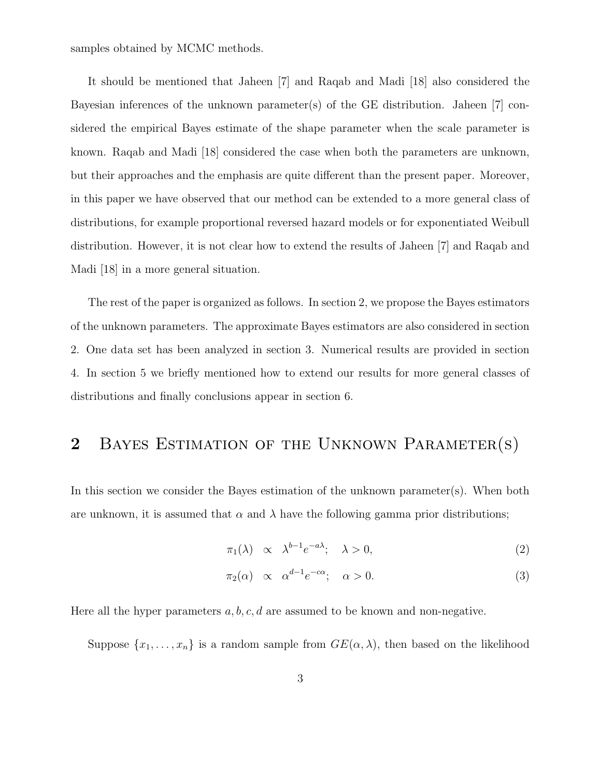samples obtained by MCMC methods.

It should be mentioned that Jaheen [7] and Raqab and Madi [18] also considered the Bayesian inferences of the unknown parameter(s) of the GE distribution. Jaheen [7] considered the empirical Bayes estimate of the shape parameter when the scale parameter is known. Raqab and Madi [18] considered the case when both the parameters are unknown, but their approaches and the emphasis are quite different than the present paper. Moreover, in this paper we have observed that our method can be extended to a more general class of distributions, for example proportional reversed hazard models or for exponentiated Weibull distribution. However, it is not clear how to extend the results of Jaheen [7] and Raqab and Madi [18] in a more general situation.

The rest of the paper is organized as follows. In section 2, we propose the Bayes estimators of the unknown parameters. The approximate Bayes estimators are also considered in section 2. One data set has been analyzed in section 3. Numerical results are provided in section 4. In section 5 we briefly mentioned how to extend our results for more general classes of distributions and finally conclusions appear in section 6.

# 2 BAYES ESTIMATION OF THE UNKNOWN PARAMETER(S)

In this section we consider the Bayes estimation of the unknown parameter(s). When both are unknown, it is assumed that  $\alpha$  and  $\lambda$  have the following gamma prior distributions;

$$
\pi_1(\lambda) \quad \propto \quad \lambda^{b-1} e^{-a\lambda}; \quad \lambda > 0,
$$
\n<sup>(2)</sup>

$$
\pi_2(\alpha) \quad \propto \quad \alpha^{d-1} e^{-c\alpha}; \quad \alpha > 0. \tag{3}
$$

Here all the hyper parameters  $a, b, c, d$  are assumed to be known and non-negative.

Suppose  $\{x_1, \ldots, x_n\}$  is a random sample from  $GE(\alpha, \lambda)$ , then based on the likelihood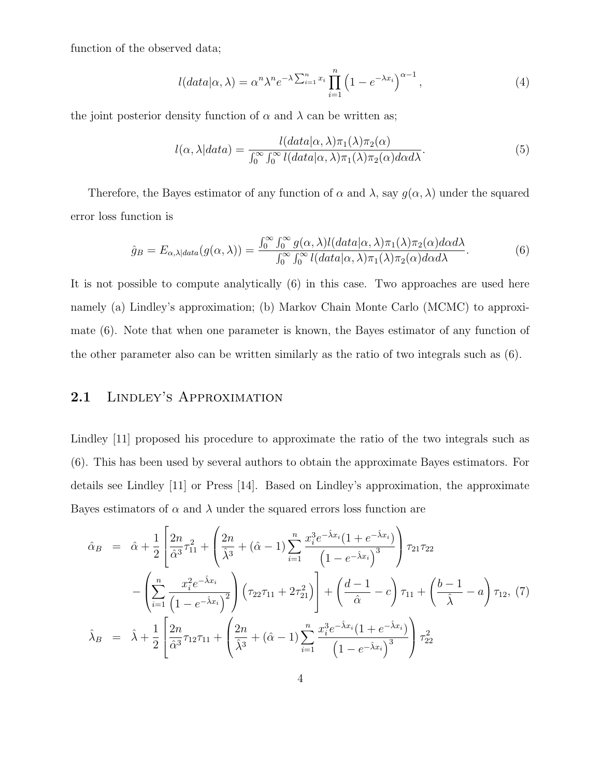function of the observed data;

$$
l(data|\alpha,\lambda) = \alpha^n \lambda^n e^{-\lambda \sum_{i=1}^n x_i} \prod_{i=1}^n \left(1 - e^{-\lambda x_i}\right)^{\alpha - 1},\tag{4}
$$

the joint posterior density function of  $\alpha$  and  $\lambda$  can be written as;

$$
l(\alpha, \lambda|data) = \frac{l(data|\alpha, \lambda)\pi_1(\lambda)\pi_2(\alpha)}{\int_0^\infty \int_0^\infty l(data|\alpha, \lambda)\pi_1(\lambda)\pi_2(\alpha)d\alpha d\lambda}.
$$
\n(5)

Therefore, the Bayes estimator of any function of  $\alpha$  and  $\lambda$ , say  $g(\alpha, \lambda)$  under the squared error loss function is

$$
\hat{g}_B = E_{\alpha,\lambda|data}(g(\alpha,\lambda)) = \frac{\int_0^\infty \int_0^\infty g(\alpha,\lambda) l(data|\alpha,\lambda)\pi_1(\lambda)\pi_2(\alpha)d\alpha d\lambda}{\int_0^\infty \int_0^\infty l(data|\alpha,\lambda)\pi_1(\lambda)\pi_2(\alpha)d\alpha d\lambda}.
$$
(6)

It is not possible to compute analytically (6) in this case. Two approaches are used here namely (a) Lindley's approximation; (b) Markov Chain Monte Carlo (MCMC) to approximate (6). Note that when one parameter is known, the Bayes estimator of any function of the other parameter also can be written similarly as the ratio of two integrals such as (6).

### 2.1 Lindley's Approximation

Lindley [11] proposed his procedure to approximate the ratio of the two integrals such as (6). This has been used by several authors to obtain the approximate Bayes estimators. For details see Lindley [11] or Press [14]. Based on Lindley's approximation, the approximate Bayes estimators of  $\alpha$  and  $\lambda$  under the squared errors loss function are

$$
\hat{\alpha}_{B} = \hat{\alpha} + \frac{1}{2} \left[ \frac{2n}{\hat{\alpha}^{3}} \tau_{11}^{2} + \left( \frac{2n}{\hat{\lambda}^{3}} + (\hat{\alpha} - 1) \sum_{i=1}^{n} \frac{x_{i}^{3} e^{-\hat{\lambda} x_{i}} (1 + e^{-\hat{\lambda} x_{i}})}{(1 - e^{-\hat{\lambda} x_{i}})^{3}} \right) \tau_{21} \tau_{22} - \left( \sum_{i=1}^{n} \frac{x_{i}^{2} e^{-\hat{\lambda} x_{i}}}{(1 - e^{-\hat{\lambda} x_{i}})^{2}} \right) \left( \tau_{22} \tau_{11} + 2 \tau_{21}^{2} \right) + \left( \frac{d - 1}{\hat{\alpha}} - c \right) \tau_{11} + \left( \frac{b - 1}{\hat{\lambda}} - a \right) \tau_{12}, \tag{7}
$$
\n
$$
\hat{\lambda}_{B} = \hat{\lambda} + \frac{1}{2} \left[ \frac{2n}{\hat{\alpha}^{3}} \tau_{12} \tau_{11} + \left( \frac{2n}{\hat{\lambda}^{3}} + (\hat{\alpha} - 1) \sum_{i=1}^{n} \frac{x_{i}^{3} e^{-\hat{\lambda} x_{i}} (1 + e^{-\hat{\lambda} x_{i}})}{(1 - e^{-\hat{\lambda} x_{i}})^{3}} \right) \tau_{22}^{2}
$$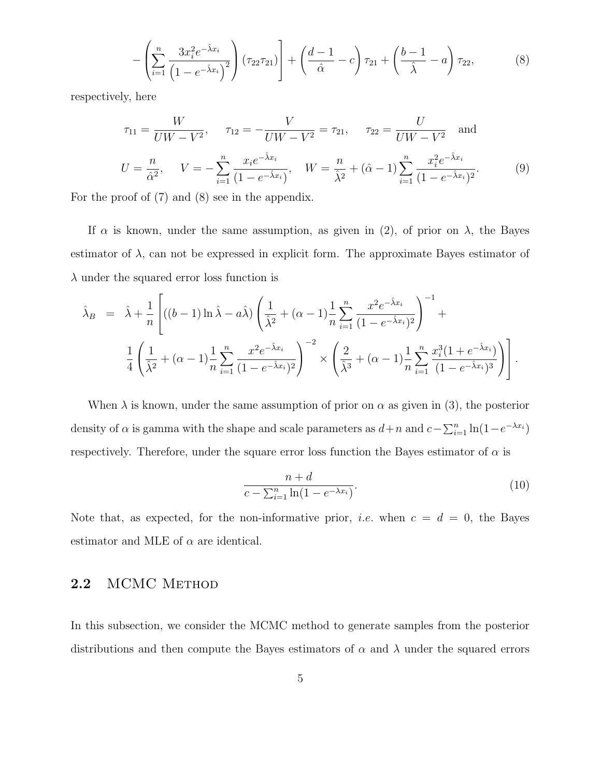$$
-\left(\sum_{i=1}^{n}\frac{3x_i^2e^{-\hat{\lambda}x_i}}{\left(1-e^{-\hat{\lambda}x_i}\right)^2}\right)\left(\tau_{22}\tau_{21}\right)\right]+\left(\frac{d-1}{\hat{\alpha}}-c\right)\tau_{21}+\left(\frac{b-1}{\hat{\lambda}}-a\right)\tau_{22},\tag{8}
$$

respectively, here

$$
\tau_{11} = \frac{W}{U W - V^2}, \quad \tau_{12} = -\frac{V}{U W - V^2} = \tau_{21}, \quad \tau_{22} = \frac{U}{U W - V^2} \text{ and}
$$

$$
U = \frac{n}{\hat{\alpha}^2}, \quad V = -\sum_{i=1}^n \frac{x_i e^{-\hat{\lambda} x_i}}{(1 - e^{-\hat{\lambda} x_i})}, \quad W = \frac{n}{\hat{\lambda}^2} + (\hat{\alpha} - 1) \sum_{i=1}^n \frac{x_i^2 e^{-\hat{\lambda} x_i}}{(1 - e^{-\hat{\lambda} x_i})^2}.
$$
(9)

For the proof of (7) and (8) see in the appendix.

If  $\alpha$  is known, under the same assumption, as given in (2), of prior on  $\lambda$ , the Bayes estimator of  $\lambda$ , can not be expressed in explicit form. The approximate Bayes estimator of  $\lambda$  under the squared error loss function is

$$
\hat{\lambda}_B = \hat{\lambda} + \frac{1}{n} \left[ ((b-1)\ln \hat{\lambda} - a\hat{\lambda}) \left( \frac{1}{\hat{\lambda}^2} + (\alpha - 1) \frac{1}{n} \sum_{i=1}^n \frac{x^2 e^{-\hat{\lambda} x_i}}{(1 - e^{-\hat{\lambda} x_i})^2} \right)^{-1} + \frac{1}{4} \left( \frac{1}{\hat{\lambda}^2} + (\alpha - 1) \frac{1}{n} \sum_{i=1}^n \frac{x^2 e^{-\hat{\lambda} x_i}}{(1 - e^{-\hat{\lambda} x_i})^2} \right)^{-2} \times \left( \frac{2}{\hat{\lambda}^3} + (\alpha - 1) \frac{1}{n} \sum_{i=1}^n \frac{x_i^3 (1 + e^{-\hat{\lambda} x_i})}{(1 - e^{-\hat{\lambda} x_i})^3} \right) \right].
$$

When  $\lambda$  is known, under the same assumption of prior on  $\alpha$  as given in (3), the posterior density of  $\alpha$  is gamma with the shape and scale parameters as  $d+n$  and  $c-\sum_{i=1}^{n}\ln(1-e^{-\lambda x_i})$ respectively. Therefore, under the square error loss function the Bayes estimator of  $\alpha$  is

$$
\frac{n+d}{c - \sum_{i=1}^{n} \ln(1 - e^{-\lambda x_i})}.
$$
\n(10)

Note that, as expected, for the non-informative prior, *i.e.* when  $c = d = 0$ , the Bayes estimator and MLE of  $\alpha$  are identical.

#### 2.2 MCMC METHOD

In this subsection, we consider the MCMC method to generate samples from the posterior distributions and then compute the Bayes estimators of  $\alpha$  and  $\lambda$  under the squared errors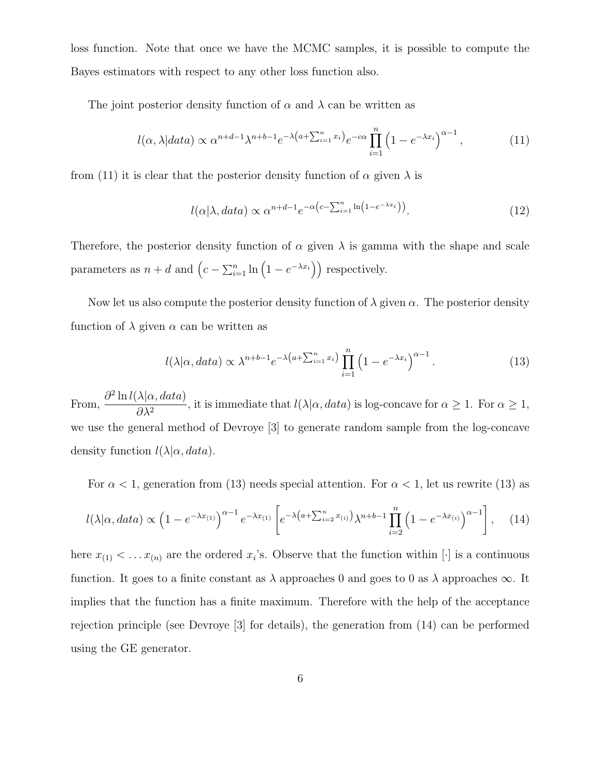loss function. Note that once we have the MCMC samples, it is possible to compute the Bayes estimators with respect to any other loss function also.

The joint posterior density function of  $\alpha$  and  $\lambda$  can be written as

$$
l(\alpha, \lambda|data) \propto \alpha^{n+d-1} \lambda^{n+b-1} e^{-\lambda \left(a + \sum_{i=1}^{n} x_i\right)} e^{-c\alpha} \prod_{i=1}^{n} \left(1 - e^{-\lambda x_i}\right)^{\alpha-1},\tag{11}
$$

from (11) it is clear that the posterior density function of  $\alpha$  given  $\lambda$  is

$$
l(\alpha|\lambda, data) \propto \alpha^{n+d-1} e^{-\alpha \left(c - \sum_{i=1}^{n} \ln(1 - e^{-\lambda x_i})\right)}.
$$
 (12)

Therefore, the posterior density function of  $\alpha$  given  $\lambda$  is gamma with the shape and scale parameters as  $n + d$  and  $(c - \sum_{i=1}^{n} \ln(1 - e^{-\lambda x_i}))$  respectively.

Now let us also compute the posterior density function of  $\lambda$  given  $\alpha$ . The posterior density function of  $\lambda$  given  $\alpha$  can be written as

$$
l(\lambda|\alpha, data) \propto \lambda^{n+b-1} e^{-\lambda \left(a + \sum_{i=1}^{n} x_i\right)} \prod_{i=1}^{n} \left(1 - e^{-\lambda x_i}\right)^{\alpha - 1}.
$$
 (13)

From,  $\partial^2 \ln l(\lambda | \alpha, data)$  $\frac{\partial A}{\partial \lambda^2}$ , it is immediate that  $l(\lambda|\alpha, data)$  is log-concave for  $\alpha \geq 1$ . For  $\alpha \geq 1$ , we use the general method of Devroye [3] to generate random sample from the log-concave density function  $l(\lambda|\alpha, data)$ .

For  $\alpha$  < 1, generation from (13) needs special attention. For  $\alpha$  < 1, let us rewrite (13) as

$$
l(\lambda|\alpha, data) \propto \left(1 - e^{-\lambda x_{(1)}}\right)^{\alpha - 1} e^{-\lambda x_{(1)}} \left[e^{-\lambda \left(a + \sum_{i=2}^{n} x_{(i)}\right)} \lambda^{n + b - 1} \prod_{i=2}^{n} \left(1 - e^{-\lambda x_{(i)}}\right)^{\alpha - 1}\right], \quad (14)
$$

here  $x_{(1)} < \ldots x_{(n)}$  are the ordered  $x_i$ 's. Observe that the function within  $[\cdot]$  is a continuous function. It goes to a finite constant as  $\lambda$  approaches 0 and goes to 0 as  $\lambda$  approaches  $\infty$ . It implies that the function has a finite maximum. Therefore with the help of the acceptance rejection principle (see Devroye [3] for details), the generation from (14) can be performed using the GE generator.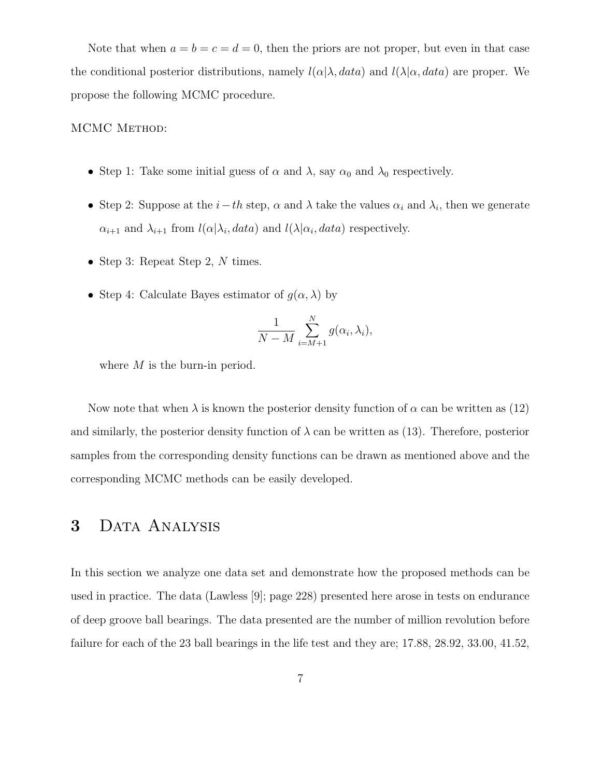Note that when  $a = b = c = d = 0$ , then the priors are not proper, but even in that case the conditional posterior distributions, namely  $l(\alpha|\lambda, data)$  and  $l(\lambda|\alpha, data)$  are proper. We propose the following MCMC procedure.

#### MCMC METHOD:

- Step 1: Take some initial guess of  $\alpha$  and  $\lambda$ , say  $\alpha_0$  and  $\lambda_0$  respectively.
- Step 2: Suppose at the  $i-th$  step,  $\alpha$  and  $\lambda$  take the values  $\alpha_i$  and  $\lambda_i$ , then we generate  $\alpha_{i+1}$  and  $\lambda_{i+1}$  from  $l(\alpha|\lambda_i, data)$  and  $l(\lambda|\alpha_i, data)$  respectively.
- Step 3: Repeat Step 2,  $N$  times.
- Step 4: Calculate Bayes estimator of  $g(\alpha, \lambda)$  by

$$
\frac{1}{N-M} \sum_{i=M+1}^{N} g(\alpha_i, \lambda_i),
$$

where M is the burn-in period.

Now note that when  $\lambda$  is known the posterior density function of  $\alpha$  can be written as (12) and similarly, the posterior density function of  $\lambda$  can be written as (13). Therefore, posterior samples from the corresponding density functions can be drawn as mentioned above and the corresponding MCMC methods can be easily developed.

### 3 DATA ANALYSIS

In this section we analyze one data set and demonstrate how the proposed methods can be used in practice. The data (Lawless [9]; page 228) presented here arose in tests on endurance of deep groove ball bearings. The data presented are the number of million revolution before failure for each of the 23 ball bearings in the life test and they are; 17.88, 28.92, 33.00, 41.52,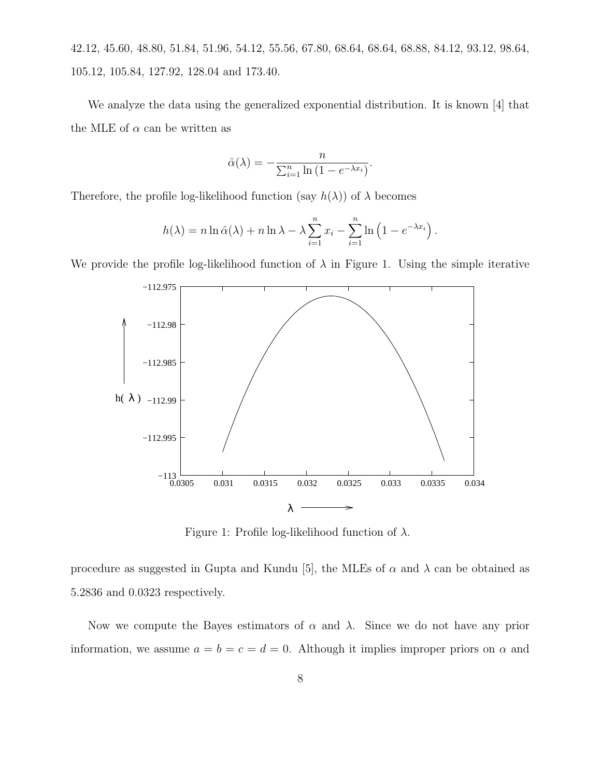42.12, 45.60, 48.80, 51.84, 51.96, 54.12, 55.56, 67.80, 68.64, 68.64, 68.88, 84.12, 93.12, 98.64, 105.12, 105.84, 127.92, 128.04 and 173.40.

We analyze the data using the generalized exponential distribution. It is known [4] that the MLE of  $\alpha$  can be written as

$$
\hat{\alpha}(\lambda) = -\frac{n}{\sum_{i=1}^{n} \ln(1 - e^{-\lambda x_i})}
$$

.

Therefore, the profile log-likelihood function (say  $h(\lambda)$ ) of  $\lambda$  becomes

$$
h(\lambda) = n \ln \hat{\alpha}(\lambda) + n \ln \lambda - \lambda \sum_{i=1}^{n} x_i - \sum_{i=1}^{n} \ln \left( 1 - e^{-\lambda x_i} \right).
$$

We provide the profile log-likelihood function of  $\lambda$  in Figure 1. Using the simple iterative



Figure 1: Profile log-likelihood function of  $\lambda$ .

procedure as suggested in Gupta and Kundu [5], the MLEs of  $\alpha$  and  $\lambda$  can be obtained as 5.2836 and 0.0323 respectively.

Now we compute the Bayes estimators of  $\alpha$  and  $\lambda$ . Since we do not have any prior information, we assume  $a = b = c = d = 0$ . Although it implies improper priors on  $\alpha$  and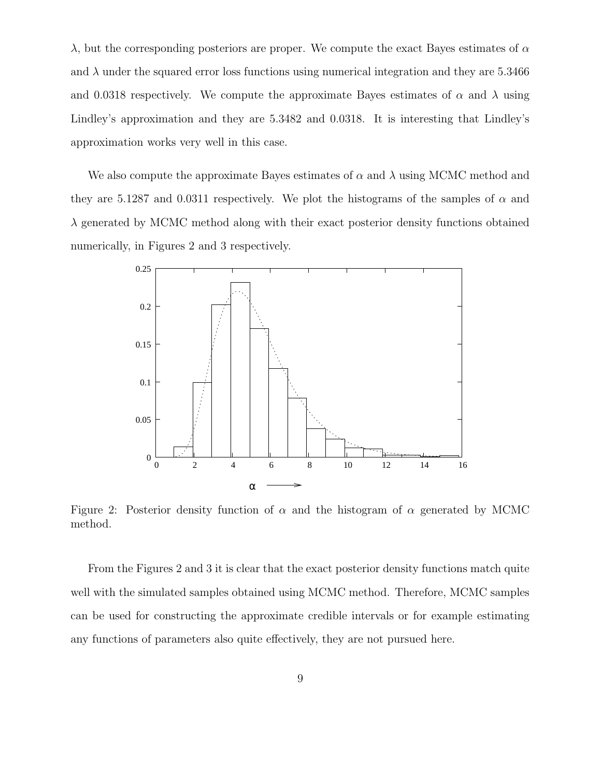$\lambda$ , but the corresponding posteriors are proper. We compute the exact Bayes estimates of  $\alpha$ and  $\lambda$  under the squared error loss functions using numerical integration and they are 5.3466 and 0.0318 respectively. We compute the approximate Bayes estimates of  $\alpha$  and  $\lambda$  using Lindley's approximation and they are 5.3482 and 0.0318. It is interesting that Lindley's approximation works very well in this case.

We also compute the approximate Bayes estimates of  $\alpha$  and  $\lambda$  using MCMC method and they are 5.1287 and 0.0311 respectively. We plot the histograms of the samples of  $\alpha$  and  $\lambda$  generated by MCMC method along with their exact posterior density functions obtained numerically, in Figures 2 and 3 respectively.



Figure 2: Posterior density function of  $\alpha$  and the histogram of  $\alpha$  generated by MCMC method.

From the Figures 2 and 3 it is clear that the exact posterior density functions match quite well with the simulated samples obtained using MCMC method. Therefore, MCMC samples can be used for constructing the approximate credible intervals or for example estimating any functions of parameters also quite effectively, they are not pursued here.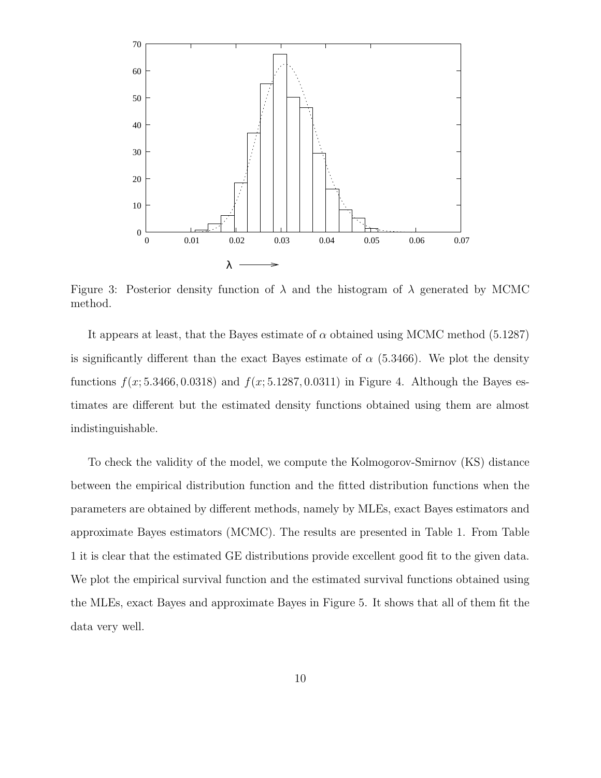

Figure 3: Posterior density function of  $\lambda$  and the histogram of  $\lambda$  generated by MCMC method.

It appears at least, that the Bayes estimate of  $\alpha$  obtained using MCMC method (5.1287) is significantly different than the exact Bayes estimate of  $\alpha$  (5.3466). We plot the density functions  $f(x; 5.3466, 0.0318)$  and  $f(x; 5.1287, 0.0311)$  in Figure 4. Although the Bayes estimates are different but the estimated density functions obtained using them are almost indistinguishable.

To check the validity of the model, we compute the Kolmogorov-Smirnov (KS) distance between the empirical distribution function and the fitted distribution functions when the parameters are obtained by different methods, namely by MLEs, exact Bayes estimators and approximate Bayes estimators (MCMC). The results are presented in Table 1. From Table 1 it is clear that the estimated GE distributions provide excellent good fit to the given data. We plot the empirical survival function and the estimated survival functions obtained using the MLEs, exact Bayes and approximate Bayes in Figure 5. It shows that all of them fit the data very well.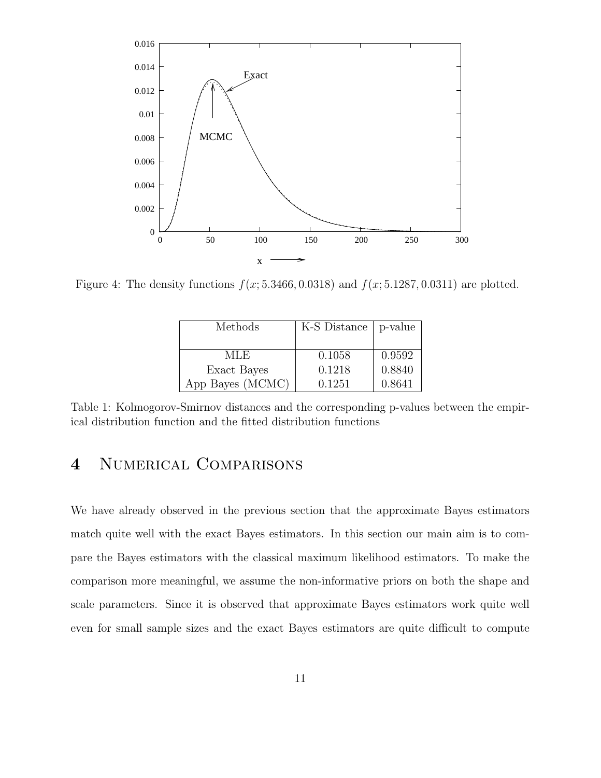

Figure 4: The density functions  $f(x; 5.3466, 0.0318)$  and  $f(x; 5.1287, 0.0311)$  are plotted.

| Methods          | K-S Distance   p-value |        |
|------------------|------------------------|--------|
|                  |                        |        |
| MLE.             | 0.1058                 | 0.9592 |
| Exact Bayes      | 0.1218                 | 0.8840 |
| App Bayes (MCMC) | 0.1251                 | 0.8641 |

Table 1: Kolmogorov-Smirnov distances and the corresponding p-values between the empirical distribution function and the fitted distribution functions

### 4 Numerical Comparisons

We have already observed in the previous section that the approximate Bayes estimators match quite well with the exact Bayes estimators. In this section our main aim is to compare the Bayes estimators with the classical maximum likelihood estimators. To make the comparison more meaningful, we assume the non-informative priors on both the shape and scale parameters. Since it is observed that approximate Bayes estimators work quite well even for small sample sizes and the exact Bayes estimators are quite difficult to compute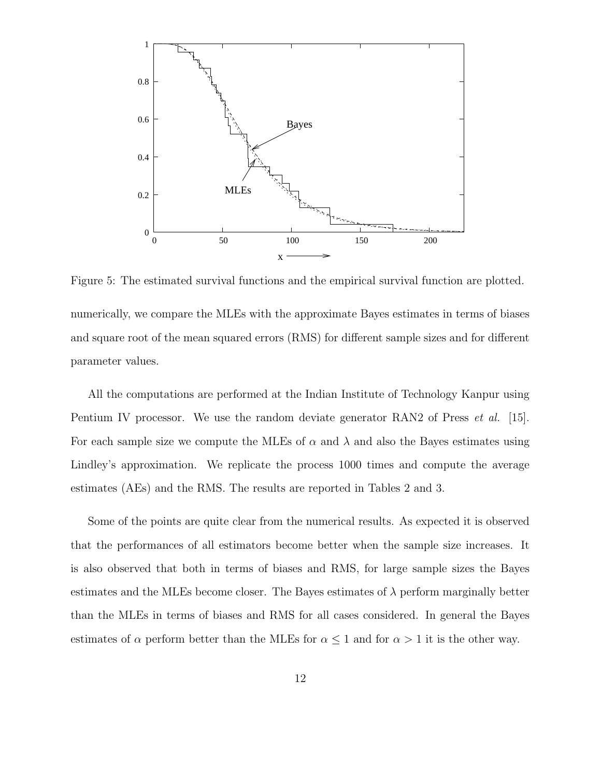

Figure 5: The estimated survival functions and the empirical survival function are plotted. numerically, we compare the MLEs with the approximate Bayes estimates in terms of biases and square root of the mean squared errors (RMS) for different sample sizes and for different parameter values.

All the computations are performed at the Indian Institute of Technology Kanpur using Pentium IV processor. We use the random deviate generator RAN2 of Press *et al.* [15]. For each sample size we compute the MLEs of  $\alpha$  and  $\lambda$  and also the Bayes estimates using Lindley's approximation. We replicate the process 1000 times and compute the average estimates (AEs) and the RMS. The results are reported in Tables 2 and 3.

Some of the points are quite clear from the numerical results. As expected it is observed that the performances of all estimators become better when the sample size increases. It is also observed that both in terms of biases and RMS, for large sample sizes the Bayes estimates and the MLEs become closer. The Bayes estimates of  $\lambda$  perform marginally better than the MLEs in terms of biases and RMS for all cases considered. In general the Bayes estimates of  $\alpha$  perform better than the MLEs for  $\alpha \leq 1$  and for  $\alpha > 1$  it is the other way.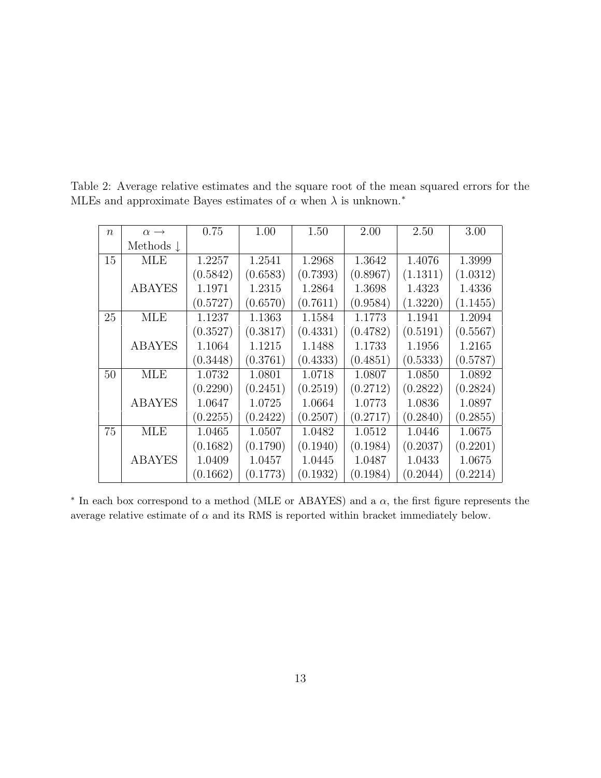| $\boldsymbol{n}$ | $\alpha \rightarrow$ | 0.75     | 1.00     | 1.50     | 2.00     | 2.50     | 3.00     |
|------------------|----------------------|----------|----------|----------|----------|----------|----------|
|                  | Methods $\downarrow$ |          |          |          |          |          |          |
| 15               | <b>MLE</b>           | 1.2257   | 1.2541   | 1.2968   | 1.3642   | 1.4076   | 1.3999   |
|                  |                      | (0.5842) | (0.6583) | (0.7393) | (0.8967) | (1.1311) | (1.0312) |
|                  | <b>ABAYES</b>        | 1.1971   | 1.2315   | 1.2864   | 1.3698   | 1.4323   | 1.4336   |
|                  |                      | (0.5727) | (0.6570) | (0.7611) | (0.9584) | (1.3220) | (1.1455) |
| 25               | <b>MLE</b>           | 1.1237   | 1.1363   | 1.1584   | 1.1773   | 1.1941   | 1.2094   |
|                  |                      | (0.3527) | (0.3817) | (0.4331) | (0.4782) | (0.5191) | (0.5567) |
|                  | <b>ABAYES</b>        | 1.1064   | 1.1215   | 1.1488   | 1.1733   | 1.1956   | 1.2165   |
|                  |                      | (0.3448) | (0.3761) | (0.4333) | (0.4851) | (0.5333) | (0.5787) |
| 50               | <b>MLE</b>           | 1.0732   | 1.0801   | 1.0718   | 1.0807   | 1.0850   | 1.0892   |
|                  |                      | (0.2290) | (0.2451) | (0.2519) | (0.2712) | (0.2822) | (0.2824) |
|                  | <b>ABAYES</b>        | 1.0647   | 1.0725   | 1.0664   | 1.0773   | 1.0836   | 1.0897   |
|                  |                      | (0.2255) | (0.2422) | (0.2507) | (0.2717) | (0.2840) | (0.2855) |
| 75               | <b>MLE</b>           | 1.0465   | 1.0507   | 1.0482   | 1.0512   | 1.0446   | 1.0675   |
|                  |                      | (0.1682) | (0.1790) | (0.1940) | (0.1984) | (0.2037) | (0.2201) |
|                  | <b>ABAYES</b>        | 1.0409   | 1.0457   | 1.0445   | 1.0487   | 1.0433   | 1.0675   |
|                  |                      | (0.1662) | (0.1773) | (0.1932) | (0.1984) | (0.2044) | (0.2214) |

Table 2: Average relative estimates and the square root of the mean squared errors for the MLEs and approximate Bayes estimates of  $\alpha$  when  $\lambda$  is unknown.<sup>\*</sup>

 $*$  In each box correspond to a method (MLE or ABAYES) and a  $\alpha$ , the first figure represents the average relative estimate of  $\alpha$  and its RMS is reported within bracket immediately below.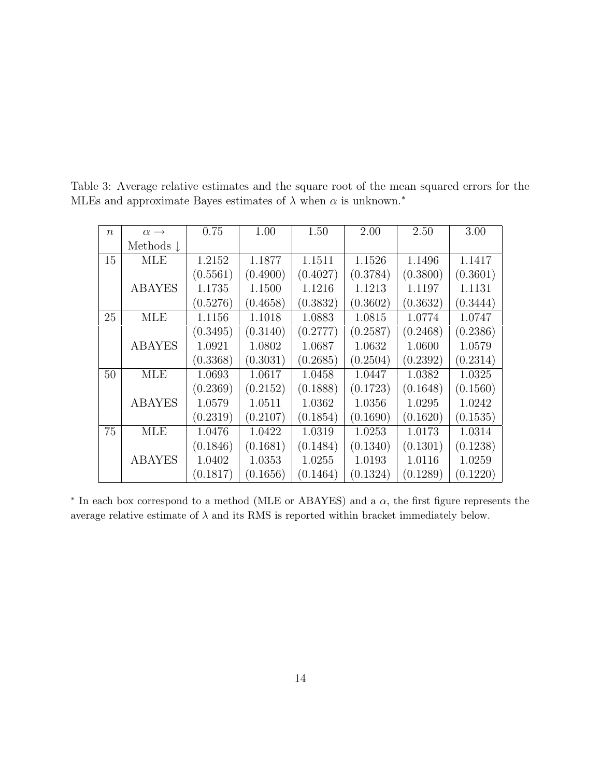| $\boldsymbol{n}$ | $\alpha \rightarrow$ | 0.75     | 1.00     | 1.50     | 2.00     | 2.50     | 3.00     |
|------------------|----------------------|----------|----------|----------|----------|----------|----------|
|                  | Methods $\downarrow$ |          |          |          |          |          |          |
| 15               | <b>MLE</b>           | 1.2152   | 1.1877   | 1.1511   | 1.1526   | 1.1496   | 1.1417   |
|                  |                      | (0.5561) | (0.4900) | (0.4027) | (0.3784) | (0.3800) | (0.3601) |
|                  | <b>ABAYES</b>        | 1.1735   | 1.1500   | 1.1216   | 1.1213   | 1.1197   | 1.1131   |
|                  |                      | (0.5276) | (0.4658) | (0.3832) | (0.3602) | (0.3632) | (0.3444) |
| 25               | <b>MLE</b>           | 1.1156   | 1.1018   | 1.0883   | 1.0815   | 1.0774   | 1.0747   |
|                  |                      | (0.3495) | (0.3140) | (0.2777) | (0.2587) | (0.2468) | (0.2386) |
|                  | <b>ABAYES</b>        | 1.0921   | 1.0802   | 1.0687   | 1.0632   | 1.0600   | 1.0579   |
|                  |                      | (0.3368) | (0.3031) | (0.2685) | (0.2504) | (0.2392) | (0.2314) |
| 50               | <b>MLE</b>           | 1.0693   | 1.0617   | 1.0458   | 1.0447   | 1.0382   | 1.0325   |
|                  |                      | (0.2369) | (0.2152) | (0.1888) | (0.1723) | (0.1648) | (0.1560) |
|                  | <b>ABAYES</b>        | 1.0579   | 1.0511   | 1.0362   | 1.0356   | 1.0295   | 1.0242   |
|                  |                      | (0.2319) | (0.2107) | (0.1854) | (0.1690) | (0.1620) | (0.1535) |
| 75               | <b>MLE</b>           | 1.0476   | 1.0422   | 1.0319   | 1.0253   | 1.0173   | 1.0314   |
|                  |                      | (0.1846) | (0.1681) | (0.1484) | (0.1340) | (0.1301) | (0.1238) |
|                  | <b>ABAYES</b>        | 1.0402   | 1.0353   | 1.0255   | 1.0193   | 1.0116   | 1.0259   |
|                  |                      | (0.1817) | (0.1656) | (0.1464) | (0.1324) | (0.1289) | (0.1220) |

Table 3: Average relative estimates and the square root of the mean squared errors for the MLEs and approximate Bayes estimates of  $\lambda$  when  $\alpha$  is unknown.<sup>\*</sup>

 $*$  In each box correspond to a method (MLE or ABAYES) and a  $\alpha$ , the first figure represents the average relative estimate of  $\lambda$  and its RMS is reported within bracket immediately below.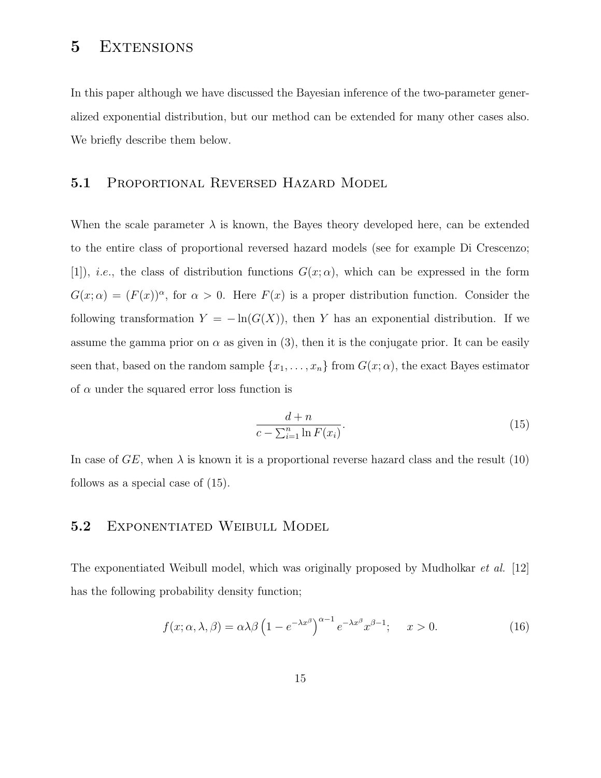### 5 EXTENSIONS

In this paper although we have discussed the Bayesian inference of the two-parameter generalized exponential distribution, but our method can be extended for many other cases also. We briefly describe them below.

#### 5.1 PROPORTIONAL REVERSED HAZARD MODEL

When the scale parameter  $\lambda$  is known, the Bayes theory developed here, can be extended to the entire class of proportional reversed hazard models (see for example Di Crescenzo; [1]), *i.e.*, the class of distribution functions  $G(x; \alpha)$ , which can be expressed in the form  $G(x; \alpha) = (F(x))^{\alpha}$ , for  $\alpha > 0$ . Here  $F(x)$  is a proper distribution function. Consider the following transformation  $Y = -\ln(G(X))$ , then Y has an exponential distribution. If we assume the gamma prior on  $\alpha$  as given in (3), then it is the conjugate prior. It can be easily seen that, based on the random sample  $\{x_1, \ldots, x_n\}$  from  $G(x; \alpha)$ , the exact Bayes estimator of  $\alpha$  under the squared error loss function is

$$
\frac{d+n}{c-\sum_{i=1}^{n}\ln F(x_i)}.\tag{15}
$$

In case of  $GE$ , when  $\lambda$  is known it is a proportional reverse hazard class and the result (10) follows as a special case of (15).

#### 5.2 EXPONENTIATED WEIBULL MODEL

The exponentiated Weibull model, which was originally proposed by Mudholkar et al. [12] has the following probability density function;

$$
f(x; \alpha, \lambda, \beta) = \alpha \lambda \beta \left( 1 - e^{-\lambda x^{\beta}} \right)^{\alpha - 1} e^{-\lambda x^{\beta}} x^{\beta - 1}; \quad x > 0.
$$
 (16)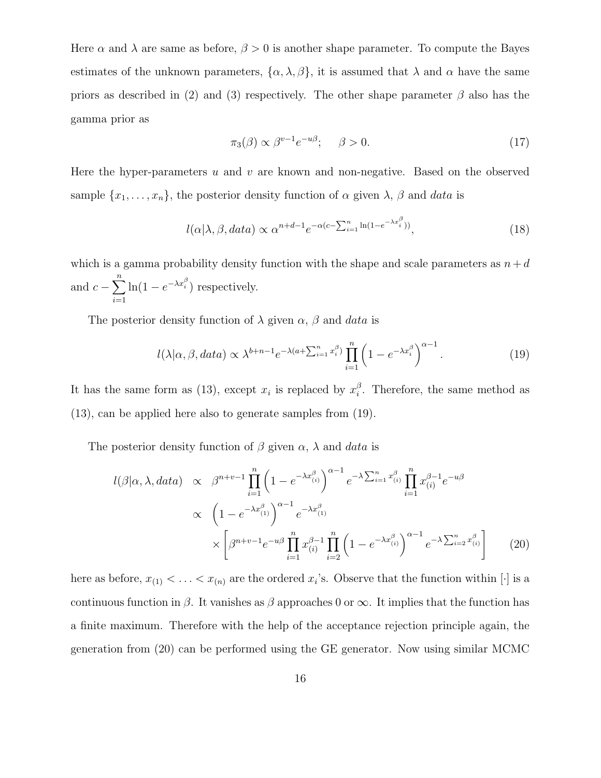Here  $\alpha$  and  $\lambda$  are same as before,  $\beta > 0$  is another shape parameter. To compute the Bayes estimates of the unknown parameters,  $\{\alpha, \lambda, \beta\}$ , it is assumed that  $\lambda$  and  $\alpha$  have the same priors as described in (2) and (3) respectively. The other shape parameter  $\beta$  also has the gamma prior as

$$
\pi_3(\beta) \propto \beta^{v-1} e^{-u\beta}; \quad \beta > 0. \tag{17}
$$

Here the hyper-parameters  $u$  and  $v$  are known and non-negative. Based on the observed sample  $\{x_1, \ldots, x_n\}$ , the posterior density function of  $\alpha$  given  $\lambda$ ,  $\beta$  and data is

$$
l(\alpha|\lambda, \beta, data) \propto \alpha^{n+d-1} e^{-\alpha(c - \sum_{i=1}^{n} \ln(1 - e^{-\lambda x_i^{\beta}}))},
$$
\n(18)

which is a gamma probability density function with the shape and scale parameters as  $n + d$ and  $c - \sum_{n=1}^{n}$  $i=1$  $\ln(1 - e^{-\lambda x_i^{\beta}})$  respectively.

The posterior density function of  $\lambda$  given  $\alpha$ ,  $\beta$  and data is

$$
l(\lambda|\alpha,\beta,data) \propto \lambda^{b+n-1} e^{-\lambda(a+\sum_{i=1}^n x_i^{\beta})} \prod_{i=1}^n \left(1 - e^{-\lambda x_i^{\beta}}\right)^{\alpha-1}.
$$
 (19)

It has the same form as (13), except  $x_i$  is replaced by  $x_i^{\beta}$  $i<sup>o</sup>$ . Therefore, the same method as (13), can be applied here also to generate samples from (19).

The posterior density function of  $\beta$  given  $\alpha$ ,  $\lambda$  and data is

$$
l(\beta|\alpha,\lambda,data) \propto \beta^{n+v-1} \prod_{i=1}^{n} \left(1 - e^{-\lambda x_{(i)}^{\beta}}\right)^{\alpha-1} e^{-\lambda \sum_{i=1}^{n} x_{(i)}^{\beta}} \prod_{i=1}^{n} x_{(i)}^{\beta-1} e^{-u\beta}
$$
  
 
$$
\propto \left(1 - e^{-\lambda x_{(1)}^{\beta}}\right)^{\alpha-1} e^{-\lambda x_{(1)}^{\beta}}
$$
  
 
$$
\times \left[\beta^{n+v-1} e^{-u\beta} \prod_{i=1}^{n} x_{(i)}^{\beta-1} \prod_{i=2}^{n} \left(1 - e^{-\lambda x_{(i)}^{\beta}}\right)^{\alpha-1} e^{-\lambda \sum_{i=2}^{n} x_{(i)}^{\beta}}\right] \tag{20}
$$

here as before,  $x_{(1)} < \ldots < x_{(n)}$  are the ordered  $x_i$ 's. Observe that the function within [·] is a continuous function in  $\beta$ . It vanishes as  $\beta$  approaches 0 or  $\infty$ . It implies that the function has a finite maximum. Therefore with the help of the acceptance rejection principle again, the generation from (20) can be performed using the GE generator. Now using similar MCMC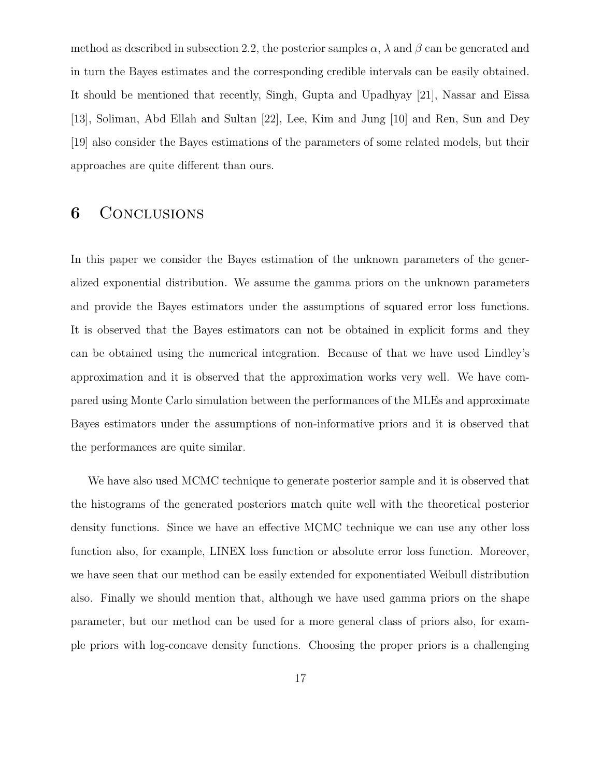method as described in subsection 2.2, the posterior samples  $\alpha$ ,  $\lambda$  and  $\beta$  can be generated and in turn the Bayes estimates and the corresponding credible intervals can be easily obtained. It should be mentioned that recently, Singh, Gupta and Upadhyay [21], Nassar and Eissa [13], Soliman, Abd Ellah and Sultan [22], Lee, Kim and Jung [10] and Ren, Sun and Dey [19] also consider the Bayes estimations of the parameters of some related models, but their approaches are quite different than ours.

#### 6 CONCLUSIONS

In this paper we consider the Bayes estimation of the unknown parameters of the generalized exponential distribution. We assume the gamma priors on the unknown parameters and provide the Bayes estimators under the assumptions of squared error loss functions. It is observed that the Bayes estimators can not be obtained in explicit forms and they can be obtained using the numerical integration. Because of that we have used Lindley's approximation and it is observed that the approximation works very well. We have compared using Monte Carlo simulation between the performances of the MLEs and approximate Bayes estimators under the assumptions of non-informative priors and it is observed that the performances are quite similar.

We have also used MCMC technique to generate posterior sample and it is observed that the histograms of the generated posteriors match quite well with the theoretical posterior density functions. Since we have an effective MCMC technique we can use any other loss function also, for example, LINEX loss function or absolute error loss function. Moreover, we have seen that our method can be easily extended for exponentiated Weibull distribution also. Finally we should mention that, although we have used gamma priors on the shape parameter, but our method can be used for a more general class of priors also, for example priors with log-concave density functions. Choosing the proper priors is a challenging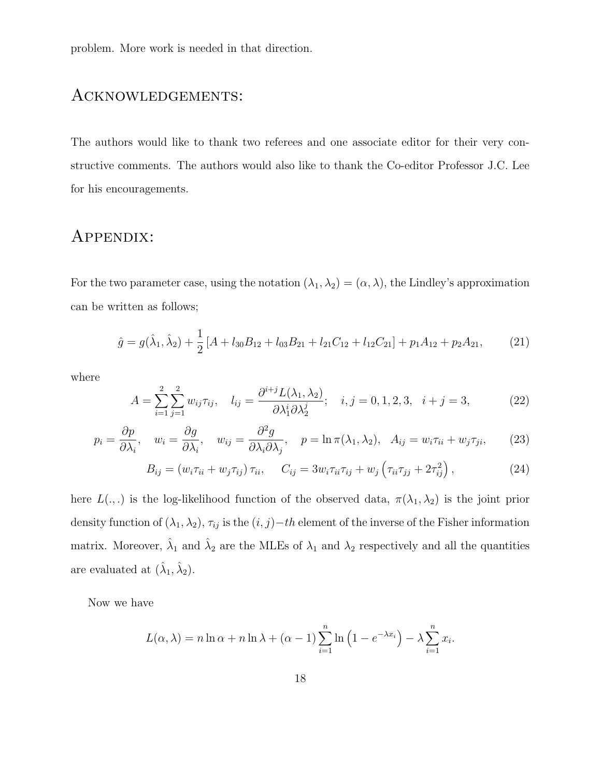problem. More work is needed in that direction.

### Acknowledgements:

The authors would like to thank two referees and one associate editor for their very constructive comments. The authors would also like to thank the Co-editor Professor J.C. Lee for his encouragements.

### Appendix:

For the two parameter case, using the notation  $(\lambda_1, \lambda_2) = (\alpha, \lambda)$ , the Lindley's approximation can be written as follows;

$$
\hat{g} = g(\hat{\lambda}_1, \hat{\lambda}_2) + \frac{1}{2} \left[ A + l_{30} B_{12} + l_{03} B_{21} + l_{21} C_{12} + l_{12} C_{21} \right] + p_1 A_{12} + p_2 A_{21},\tag{21}
$$

where

$$
A = \sum_{i=1}^{2} \sum_{j=1}^{2} w_{ij} \tau_{ij}, \quad l_{ij} = \frac{\partial^{i+j} L(\lambda_1, \lambda_2)}{\partial \lambda_1^i \partial \lambda_2^j}; \quad i, j = 0, 1, 2, 3, \quad i + j = 3,
$$
 (22)

$$
p_i = \frac{\partial p}{\partial \lambda_i}, \quad w_i = \frac{\partial g}{\partial \lambda_i}, \quad w_{ij} = \frac{\partial^2 g}{\partial \lambda_i \partial \lambda_j}, \quad p = \ln \pi(\lambda_1, \lambda_2), \quad A_{ij} = w_i \tau_{ii} + w_j \tau_{ji}, \tag{23}
$$

$$
B_{ij} = \left(w_i \tau_{ii} + w_j \tau_{ij}\right) \tau_{ii}, \quad C_{ij} = 3w_i \tau_{ii} \tau_{ij} + w_j \left(\tau_{ii} \tau_{jj} + 2\tau_{ij}^2\right),\tag{24}
$$

here  $L(.,.)$  is the log-likelihood function of the observed data,  $\pi(\lambda_1, \lambda_2)$  is the joint prior density function of  $(\lambda_1, \lambda_2)$ ,  $\tau_{ij}$  is the  $(i, j)-th$  element of the inverse of the Fisher information matrix. Moreover,  $\hat{\lambda}_1$  and  $\hat{\lambda}_2$  are the MLEs of  $\lambda_1$  and  $\lambda_2$  respectively and all the quantities are evaluated at  $(\hat{\lambda}_1, \hat{\lambda}_2)$ .

Now we have

$$
L(\alpha, \lambda) = n \ln \alpha + n \ln \lambda + (\alpha - 1) \sum_{i=1}^{n} \ln \left( 1 - e^{-\lambda x_i} \right) - \lambda \sum_{i=1}^{n} x_i.
$$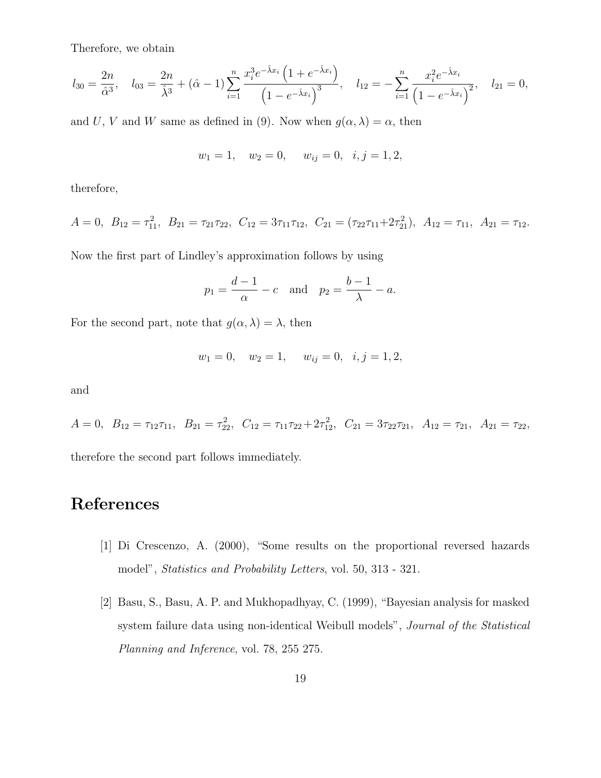Therefore, we obtain

$$
l_{30} = \frac{2n}{\hat{\alpha}^3}, \quad l_{03} = \frac{2n}{\hat{\lambda}^3} + (\hat{\alpha} - 1) \sum_{i=1}^n \frac{x_i^3 e^{-\hat{\lambda} x_i} \left(1 + e^{-\hat{\lambda} x_i}\right)}{\left(1 - e^{-\hat{\lambda} x_i}\right)^3}, \quad l_{12} = -\sum_{i=1}^n \frac{x_i^2 e^{-\hat{\lambda} x_i}}{\left(1 - e^{-\hat{\lambda} x_i}\right)^2}, \quad l_{21} = 0,
$$

and U, V and W same as defined in (9). Now when  $g(\alpha, \lambda) = \alpha$ , then

$$
w_1 = 1
$$
,  $w_2 = 0$ ,  $w_{ij} = 0$ ,  $i, j = 1, 2$ ,

therefore,

$$
A = 0, B_{12} = \tau_{11}^2, B_{21} = \tau_{21}\tau_{22}, C_{12} = 3\tau_{11}\tau_{12}, C_{21} = (\tau_{22}\tau_{11} + 2\tau_{21}^2), A_{12} = \tau_{11}, A_{21} = \tau_{12}.
$$

Now the first part of Lindley's approximation follows by using

$$
p_1 = \frac{d-1}{\alpha} - c
$$
 and  $p_2 = \frac{b-1}{\lambda} - a$ .

For the second part, note that  $g(\alpha, \lambda) = \lambda$ , then

$$
w_1 = 0
$$
,  $w_2 = 1$ ,  $w_{ij} = 0$ ,  $i, j = 1, 2$ ,

and

 $A = 0, B_{12} = \tau_{12}\tau_{11}, B_{21} = \tau_{22}^2, C_{12} = \tau_{11}\tau_{22} + 2\tau_{12}^2, C_{21} = 3\tau_{22}\tau_{21}, A_{12} = \tau_{21}, A_{21} = \tau_{22},$ 

therefore the second part follows immediately.

## References

- [1] Di Crescenzo, A. (2000), "Some results on the proportional reversed hazards model", Statistics and Probability Letters, vol. 50, 313 - 321.
- [2] Basu, S., Basu, A. P. and Mukhopadhyay, C. (1999), "Bayesian analysis for masked system failure data using non-identical Weibull models", *Journal of the Statistical* Planning and Inference, vol. 78, 255 275.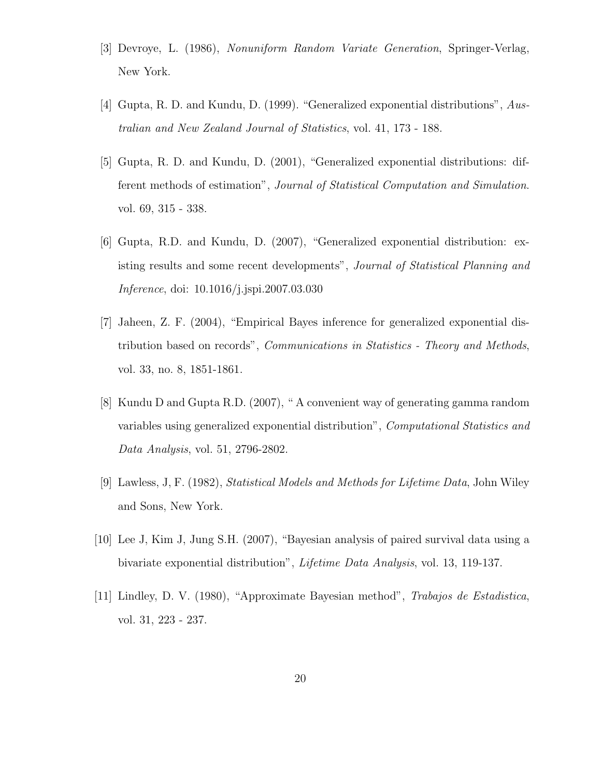- [3] Devroye, L. (1986), Nonuniform Random Variate Generation, Springer-Verlag, New York.
- [4] Gupta, R. D. and Kundu, D. (1999). "Generalized exponential distributions", Australian and New Zealand Journal of Statistics, vol. 41, 173 - 188.
- [5] Gupta, R. D. and Kundu, D. (2001), "Generalized exponential distributions: different methods of estimation", Journal of Statistical Computation and Simulation. vol. 69, 315 - 338.
- [6] Gupta, R.D. and Kundu, D. (2007), "Generalized exponential distribution: existing results and some recent developments", Journal of Statistical Planning and Inference, doi: 10.1016/j.jspi.2007.03.030
- [7] Jaheen, Z. F. (2004), "Empirical Bayes inference for generalized exponential distribution based on records", Communications in Statistics - Theory and Methods, vol. 33, no. 8, 1851-1861.
- [8] Kundu D and Gupta R.D. (2007), " A convenient way of generating gamma random variables using generalized exponential distribution", Computational Statistics and Data Analysis, vol. 51, 2796-2802.
- [9] Lawless, J, F. (1982), Statistical Models and Methods for Lifetime Data, John Wiley and Sons, New York.
- [10] Lee J, Kim J, Jung S.H. (2007), "Bayesian analysis of paired survival data using a bivariate exponential distribution", Lifetime Data Analysis, vol. 13, 119-137.
- [11] Lindley, D. V. (1980), "Approximate Bayesian method", Trabajos de Estadistica, vol. 31, 223 - 237.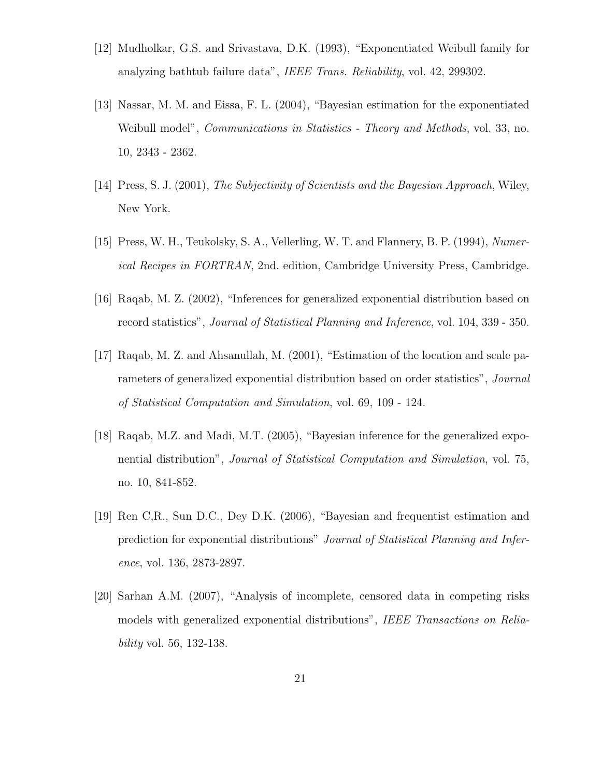- [12] Mudholkar, G.S. and Srivastava, D.K. (1993), "Exponentiated Weibull family for analyzing bathtub failure data", IEEE Trans. Reliability, vol. 42, 299302.
- [13] Nassar, M. M. and Eissa, F. L. (2004), "Bayesian estimation for the exponentiated Weibull model", *Communications in Statistics - Theory and Methods*, vol. 33, no. 10, 2343 - 2362.
- [14] Press, S. J. (2001), The Subjectivity of Scientists and the Bayesian Approach, Wiley, New York.
- [15] Press, W. H., Teukolsky, S. A., Vellerling, W. T. and Flannery, B. P. (1994), Numerical Recipes in FORTRAN, 2nd. edition, Cambridge University Press, Cambridge.
- [16] Raqab, M. Z. (2002), "Inferences for generalized exponential distribution based on record statistics", Journal of Statistical Planning and Inference, vol. 104, 339 - 350.
- [17] Raqab, M. Z. and Ahsanullah, M. (2001), "Estimation of the location and scale parameters of generalized exponential distribution based on order statistics", *Journal* of Statistical Computation and Simulation, vol. 69, 109 - 124.
- [18] Raqab, M.Z. and Madi, M.T. (2005), "Bayesian inference for the generalized exponential distribution", Journal of Statistical Computation and Simulation, vol. 75, no. 10, 841-852.
- [19] Ren C,R., Sun D.C., Dey D.K. (2006), "Bayesian and frequentist estimation and prediction for exponential distributions" Journal of Statistical Planning and Inference, vol. 136, 2873-2897.
- [20] Sarhan A.M. (2007), "Analysis of incomplete, censored data in competing risks models with generalized exponential distributions", IEEE Transactions on Reliability vol. 56, 132-138.